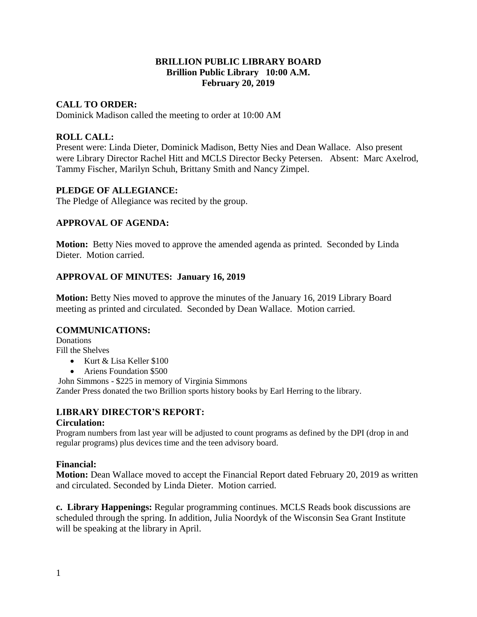## **BRILLION PUBLIC LIBRARY BOARD Brillion Public Library 10:00 A.M. February 20, 2019**

## **CALL TO ORDER:**

Dominick Madison called the meeting to order at 10:00 AM

## **ROLL CALL:**

Present were: Linda Dieter, Dominick Madison, Betty Nies and Dean Wallace. Also present were Library Director Rachel Hitt and MCLS Director Becky Petersen. Absent: Marc Axelrod, Tammy Fischer, Marilyn Schuh, Brittany Smith and Nancy Zimpel.

## **PLEDGE OF ALLEGIANCE:**

The Pledge of Allegiance was recited by the group.

## **APPROVAL OF AGENDA:**

**Motion:** Betty Nies moved to approve the amended agenda as printed. Seconded by Linda Dieter. Motion carried.

## **APPROVAL OF MINUTES: January 16, 2019**

**Motion:** Betty Nies moved to approve the minutes of the January 16, 2019 Library Board meeting as printed and circulated. Seconded by Dean Wallace. Motion carried.

## **COMMUNICATIONS:**

Donations Fill the Shelves

- $\bullet$  Kurt & Lisa Keller \$100
- Ariens Foundation \$500

John Simmons - \$225 in memory of Virginia Simmons

Zander Press donated the two Brillion sports history books by Earl Herring to the library.

## **LIBRARY DIRECTOR'S REPORT:**

## **Circulation:**

Program numbers from last year will be adjusted to count programs as defined by the DPI (drop in and regular programs) plus devices time and the teen advisory board.

## **Financial:**

**Motion:** Dean Wallace moved to accept the Financial Report dated February 20, 2019 as written and circulated. Seconded by Linda Dieter. Motion carried.

**c. Library Happenings:** Regular programming continues. MCLS Reads book discussions are scheduled through the spring. In addition, Julia Noordyk of the Wisconsin Sea Grant Institute will be speaking at the library in April.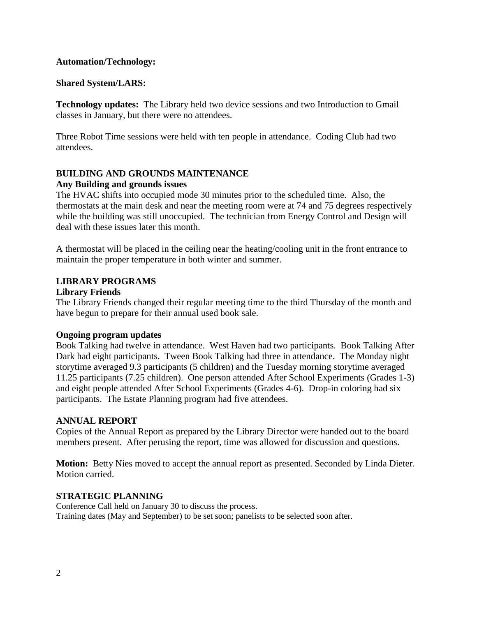## **Automation/Technology:**

## **Shared System/LARS:**

**Technology updates:** The Library held two device sessions and two Introduction to Gmail classes in January, but there were no attendees.

Three Robot Time sessions were held with ten people in attendance. Coding Club had two attendees.

# **BUILDING AND GROUNDS MAINTENANCE**

## **Any Building and grounds issues**

The HVAC shifts into occupied mode 30 minutes prior to the scheduled time. Also, the thermostats at the main desk and near the meeting room were at 74 and 75 degrees respectively while the building was still unoccupied. The technician from Energy Control and Design will deal with these issues later this month.

A thermostat will be placed in the ceiling near the heating/cooling unit in the front entrance to maintain the proper temperature in both winter and summer.

## **LIBRARY PROGRAMS**

## **Library Friends**

The Library Friends changed their regular meeting time to the third Thursday of the month and have begun to prepare for their annual used book sale.

## **Ongoing program updates**

Book Talking had twelve in attendance. West Haven had two participants. Book Talking After Dark had eight participants. Tween Book Talking had three in attendance. The Monday night storytime averaged 9.3 participants (5 children) and the Tuesday morning storytime averaged 11.25 participants (7.25 children). One person attended After School Experiments (Grades 1-3) and eight people attended After School Experiments (Grades 4-6). Drop-in coloring had six participants. The Estate Planning program had five attendees.

## **ANNUAL REPORT**

Copies of the Annual Report as prepared by the Library Director were handed out to the board members present. After perusing the report, time was allowed for discussion and questions.

**Motion:** Betty Nies moved to accept the annual report as presented. Seconded by Linda Dieter. Motion carried.

## **STRATEGIC PLANNING**

Conference Call held on January 30 to discuss the process. Training dates (May and September) to be set soon; panelists to be selected soon after.